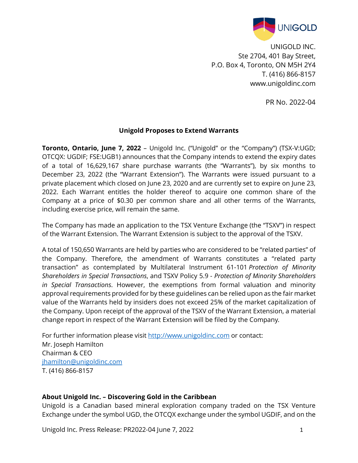

UNIGOLD INC. Ste 2704, 401 Bay Street, P.O. Box 4, Toronto, ON M5H 2Y4 T. (416) 866-8157 www.unigoldinc.com

PR No. 2022-04

## **Unigold Proposes to Extend Warrants**

**Toronto, Ontario, June 7, 2022** - Unigold Inc. ("Unigold" or the "Company") (TSX-V:UGD; OTCQX: UGDIF; FSE:UGB1) announces that the Company intends to extend the expiry dates of a total of 16,629,167 share purchase warrants (the "Warrants"), by six months to December 23, 2022 (the "Warrant Extension"). The Warrants were issued pursuant to a private placement which closed on June 23, 2020 and are currently set to expire on June 23, 2022. Each Warrant entitles the holder thereof to acquire one common share of the Company at a price of \$0.30 per common share and all other terms of the Warrants, including exercise price, will remain the same.

The Company has made an application to the TSX Venture Exchange (the "TSXV") in respect of the Warrant Extension. The Warrant Extension is subject to the approval of the TSXV.

A total of 150,650 Warrants are held by parties who are considered to be "related parties" of the Company. Therefore, the amendment of Warrants constitutes a "related party transaction" as contemplated by Multilateral Instrument 61-101 *Protection of Minority Shareholders in Special Transactions*, and TSXV Policy 5.9 - *Protection of Minority Shareholders in Special Transactions*. However, the exemptions from formal valuation and minority approval requirements provided for by these guidelines can be relied upon as the fair market value of the Warrants held by insiders does not exceed 25% of the market capitalization of the Company. Upon receipt of the approval of the TSXV of the Warrant Extension, a material change report in respect of the Warrant Extension will be filed by the Company*.*

For further information please visit [http://www.unigoldinc.com](http://www.unigoldinc.com/) or contact: Mr. Joseph Hamilton Chairman & CEO [jhamilton@unigoldinc.com](mailto:jhamilton@unigoldinc.com) T. (416) 866-8157

## **About Unigold Inc. – Discovering Gold in the Caribbean**

Unigold is a Canadian based mineral exploration company traded on the TSX Venture Exchange under the symbol UGD, the OTCQX exchange under the symbol UGDIF, and on the

Unigold Inc. Press Release: PR2022-04 June 7, 2022 1